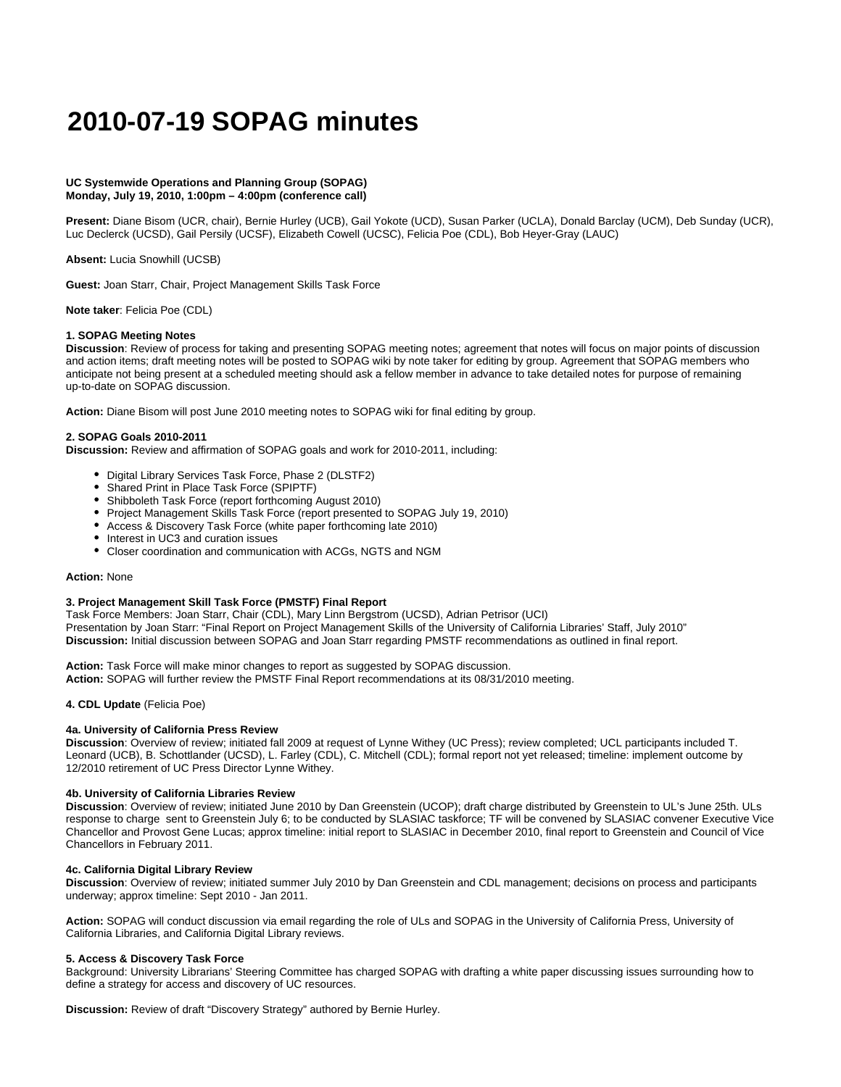# **2010-07-19 SOPAG minutes**

#### **UC Systemwide Operations and Planning Group (SOPAG) Monday, July 19, 2010, 1:00pm – 4:00pm (conference call)**

**Present:** Diane Bisom (UCR, chair), Bernie Hurley (UCB), Gail Yokote (UCD), Susan Parker (UCLA), Donald Barclay (UCM), Deb Sunday (UCR), Luc Declerck (UCSD), Gail Persily (UCSF), Elizabeth Cowell (UCSC), Felicia Poe (CDL), Bob Heyer-Gray (LAUC)

**Absent:** Lucia Snowhill (UCSB)

**Guest:** Joan Starr, Chair, Project Management Skills Task Force

**Note taker**: Felicia Poe (CDL)

## **1. SOPAG Meeting Notes**

**Discussion**: Review of process for taking and presenting SOPAG meeting notes; agreement that notes will focus on major points of discussion and action items; draft meeting notes will be posted to SOPAG wiki by note taker for editing by group. Agreement that SOPAG members who anticipate not being present at a scheduled meeting should ask a fellow member in advance to take detailed notes for purpose of remaining up-to-date on SOPAG discussion.

**Action:** Diane Bisom will post June 2010 meeting notes to SOPAG wiki for final editing by group.

## **2. SOPAG Goals 2010-2011**

**Discussion:** Review and affirmation of SOPAG goals and work for 2010-2011, including:

- Digital Library Services Task Force, Phase 2 (DLSTF2)
- Shared Print in Place Task Force (SPIPTF)
- Shibboleth Task Force (report forthcoming August 2010)
- Project Management Skills Task Force (report presented to SOPAG July 19, 2010)
- Access & Discovery Task Force (white paper forthcoming late 2010)
- Interest in UC3 and curation issues
- Closer coordination and communication with ACGs, NGTS and NGM

#### **Action:** None

## **3. Project Management Skill Task Force (PMSTF) Final Report**

Task Force Members: Joan Starr, Chair (CDL), Mary Linn Bergstrom (UCSD), Adrian Petrisor (UCI) Presentation by Joan Starr: "Final Report on Project Management Skills of the University of California Libraries' Staff, July 2010" **Discussion:** Initial discussion between SOPAG and Joan Starr regarding PMSTF recommendations as outlined in final report.

**Action:** Task Force will make minor changes to report as suggested by SOPAG discussion. **Action:** SOPAG will further review the PMSTF Final Report recommendations at its 08/31/2010 meeting.

#### **4. CDL Update** (Felicia Poe)

#### **4a. University of California Press Review**

**Discussion**: Overview of review; initiated fall 2009 at request of Lynne Withey (UC Press); review completed; UCL participants included T. Leonard (UCB), B. Schottlander (UCSD), L. Farley (CDL), C. Mitchell (CDL); formal report not yet released; timeline: implement outcome by 12/2010 retirement of UC Press Director Lynne Withey.

### **4b. University of California Libraries Review**

**Discussion**: Overview of review; initiated June 2010 by Dan Greenstein (UCOP); draft charge distributed by Greenstein to UL's June 25th. ULs response to charge sent to Greenstein July 6; to be conducted by SLASIAC taskforce; TF will be convened by SLASIAC convener Executive Vice Chancellor and Provost Gene Lucas; approx timeline: initial report to SLASIAC in December 2010, final report to Greenstein and Council of Vice Chancellors in February 2011.

#### **4c. California Digital Library Review**

**Discussion**: Overview of review; initiated summer July 2010 by Dan Greenstein and CDL management; decisions on process and participants underway; approx timeline: Sept 2010 - Jan 2011.

**Action:** SOPAG will conduct discussion via email regarding the role of ULs and SOPAG in the University of California Press, University of California Libraries, and California Digital Library reviews.

## **5. Access & Discovery Task Force**

Background: University Librarians' Steering Committee has charged SOPAG with drafting a white paper discussing issues surrounding how to define a strategy for access and discovery of UC resources.

**Discussion:** Review of draft "Discovery Strategy" authored by Bernie Hurley.